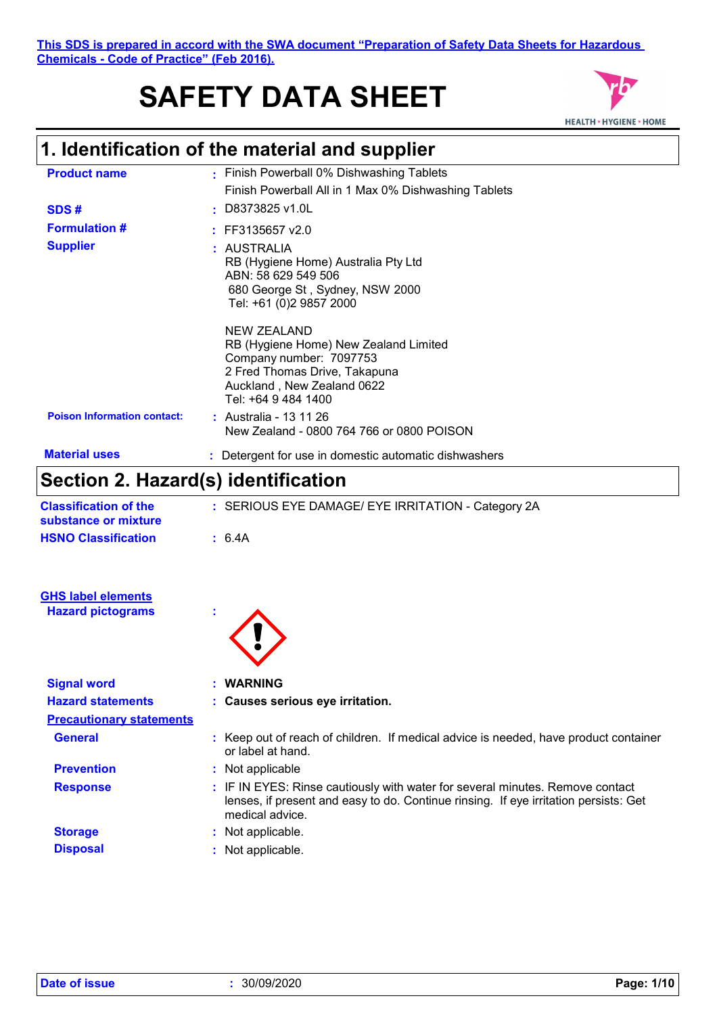# **SAFETY DATA SHEET**



## **1. Identification of the material and supplier**

| <b>Product name</b>                | • Finish Powerball 0% Dishwashing Tablets                                                                                                                                    |
|------------------------------------|------------------------------------------------------------------------------------------------------------------------------------------------------------------------------|
|                                    | Finish Powerball All in 1 Max 0% Dishwashing Tablets                                                                                                                         |
| SDS#                               | $:$ D8373825 v1.0L                                                                                                                                                           |
| <b>Formulation #</b>               | $:$ FF3135657 v2.0                                                                                                                                                           |
| <b>Supplier</b>                    | : AUSTRALIA<br>RB (Hygiene Home) Australia Pty Ltd<br>ABN: 58 629 549 506<br>680 George St, Sydney, NSW 2000<br>Tel: +61 (0)2 9857 2000                                      |
|                                    | <b>NEW ZEALAND</b><br>RB (Hygiene Home) New Zealand Limited<br>Company number: 7097753<br>2 Fred Thomas Drive, Takapuna<br>Auckland, New Zealand 0622<br>Tel: +64 9 484 1400 |
| <b>Poison Information contact:</b> | : Australia - 13 11 26<br>New Zealand - 0800 764 766 or 0800 POISON                                                                                                          |
| <b>Material uses</b>               | : Detergent for use in domestic automatic dishwashers                                                                                                                        |

### **Section 2. Hazard(s) identification**

| <b>Classification of the</b><br>substance or mixture | : SERIOUS EYE DAMAGE/ EYE IRRITATION - Category 2A |
|------------------------------------------------------|----------------------------------------------------|
| <b>HSNO Classification</b>                           | $\pm$ 6.4A                                         |
|                                                      |                                                    |
|                                                      |                                                    |
|                                                      |                                                    |

| <b>GHS label elements</b> |
|---------------------------|
| <b>Hazard pictograms</b>  |

| ۰ |
|---|
|   |

| <b>Signal word</b>              | <b>WARNING</b>                                                                                                                                                                           |  |
|---------------------------------|------------------------------------------------------------------------------------------------------------------------------------------------------------------------------------------|--|
| <b>Hazard statements</b>        | : Causes serious eye irritation.                                                                                                                                                         |  |
| <b>Precautionary statements</b> |                                                                                                                                                                                          |  |
| <b>General</b>                  | : Keep out of reach of children. If medical advice is needed, have product container<br>or label at hand.                                                                                |  |
| <b>Prevention</b>               | Not applicable                                                                                                                                                                           |  |
| <b>Response</b>                 | : IF IN EYES: Rinse cautiously with water for several minutes. Remove contact<br>lenses, if present and easy to do. Continue rinsing. If eye irritation persists: Get<br>medical advice. |  |
| <b>Storage</b>                  | Not applicable.                                                                                                                                                                          |  |
| <b>Disposal</b>                 | Not applicable.                                                                                                                                                                          |  |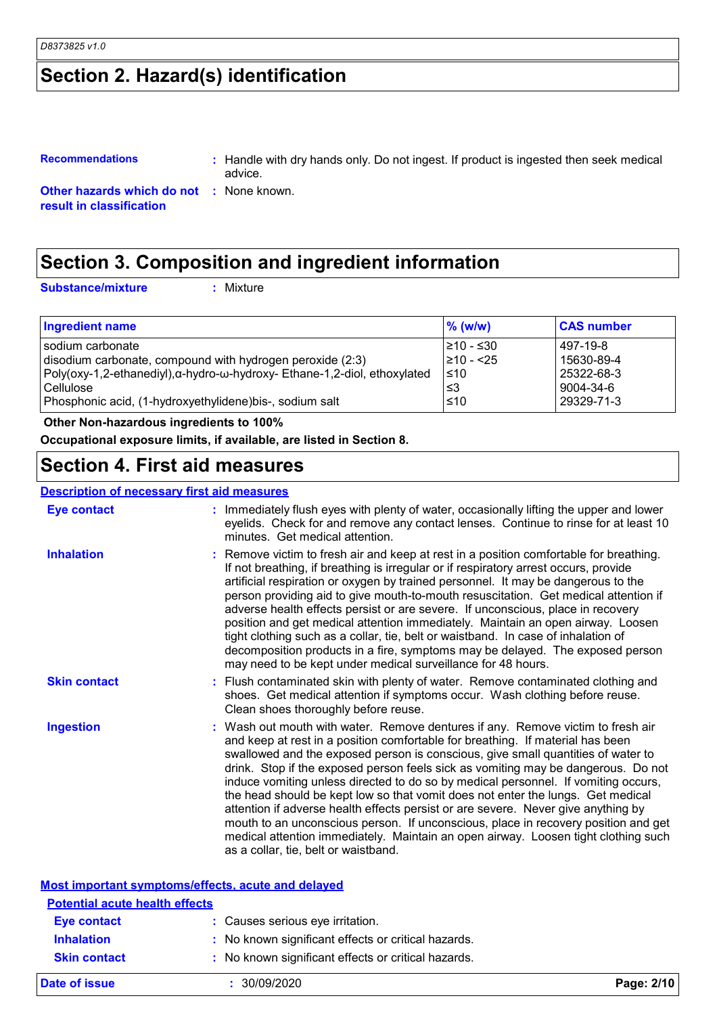### **Section 2. Hazard(s) identification**

### **Recommendations :** Handle with dry hands only. Do not ingest. If product is ingested then seek medical advice.

**Other hazards which do not :** None known. **result in classification**

### **Section 3. Composition and ingredient information**

**Substance/mixture :**

Mixture

| <b>Ingredient name</b>                                                   | $\%$ (w/w) | <b>CAS number</b> |
|--------------------------------------------------------------------------|------------|-------------------|
| I sodium carbonate                                                       | l≥10 - ≤30 | 497-19-8          |
| disodium carbonate, compound with hydrogen peroxide (2:3)                | ≥10 - <25  | 15630-89-4        |
| Poly(oxy-1,2-ethanediyl),α-hydro-ω-hydroxy- Ethane-1,2-diol, ethoxylated | ≤10        | 25322-68-3        |
| l Cellulose                                                              | ՝≤3        | 9004-34-6         |
| Phosphonic acid, (1-hydroxyethylidene) bis-, sodium salt                 | $≤10$      | 29329-71-3        |

 **Other Non-hazardous ingredients to 100%**

**Occupational exposure limits, if available, are listed in Section 8.**

### **Section 4. First aid measures**

#### **Description of necessary first aid measures**

| <b>Eye contact</b>                    | : Immediately flush eyes with plenty of water, occasionally lifting the upper and lower<br>eyelids. Check for and remove any contact lenses. Continue to rinse for at least 10<br>minutes. Get medical attention.                                                                                                                                                                                                                                                                                                                                                                                                                                                                                                                                                                                                            |
|---------------------------------------|------------------------------------------------------------------------------------------------------------------------------------------------------------------------------------------------------------------------------------------------------------------------------------------------------------------------------------------------------------------------------------------------------------------------------------------------------------------------------------------------------------------------------------------------------------------------------------------------------------------------------------------------------------------------------------------------------------------------------------------------------------------------------------------------------------------------------|
| <b>Inhalation</b>                     | : Remove victim to fresh air and keep at rest in a position comfortable for breathing.<br>If not breathing, if breathing is irregular or if respiratory arrest occurs, provide<br>artificial respiration or oxygen by trained personnel. It may be dangerous to the<br>person providing aid to give mouth-to-mouth resuscitation. Get medical attention if<br>adverse health effects persist or are severe. If unconscious, place in recovery<br>position and get medical attention immediately. Maintain an open airway. Loosen<br>tight clothing such as a collar, tie, belt or waistband. In case of inhalation of<br>decomposition products in a fire, symptoms may be delayed. The exposed person<br>may need to be kept under medical surveillance for 48 hours.                                                       |
| <b>Skin contact</b>                   | : Flush contaminated skin with plenty of water. Remove contaminated clothing and<br>shoes. Get medical attention if symptoms occur. Wash clothing before reuse.<br>Clean shoes thoroughly before reuse.                                                                                                                                                                                                                                                                                                                                                                                                                                                                                                                                                                                                                      |
| <b>Ingestion</b>                      | : Wash out mouth with water. Remove dentures if any. Remove victim to fresh air<br>and keep at rest in a position comfortable for breathing. If material has been<br>swallowed and the exposed person is conscious, give small quantities of water to<br>drink. Stop if the exposed person feels sick as vomiting may be dangerous. Do not<br>induce vomiting unless directed to do so by medical personnel. If vomiting occurs,<br>the head should be kept low so that vomit does not enter the lungs. Get medical<br>attention if adverse health effects persist or are severe. Never give anything by<br>mouth to an unconscious person. If unconscious, place in recovery position and get<br>medical attention immediately. Maintain an open airway. Loosen tight clothing such<br>as a collar, tie, belt or waistband. |
|                                       | <b>Most important symptoms/effects, acute and delayed</b>                                                                                                                                                                                                                                                                                                                                                                                                                                                                                                                                                                                                                                                                                                                                                                    |
| <b>Potential acute health effects</b> |                                                                                                                                                                                                                                                                                                                                                                                                                                                                                                                                                                                                                                                                                                                                                                                                                              |
| <b>Eye contact</b>                    | : Causes serious eye irritation.                                                                                                                                                                                                                                                                                                                                                                                                                                                                                                                                                                                                                                                                                                                                                                                             |
| <b>Inhalation</b>                     | : No known significant effects or critical hazards.                                                                                                                                                                                                                                                                                                                                                                                                                                                                                                                                                                                                                                                                                                                                                                          |
| <b>Skin contact</b>                   | : No known significant effects or critical hazards.                                                                                                                                                                                                                                                                                                                                                                                                                                                                                                                                                                                                                                                                                                                                                                          |
| Date of issue                         | : 30/09/2020<br>Page: 2/10                                                                                                                                                                                                                                                                                                                                                                                                                                                                                                                                                                                                                                                                                                                                                                                                   |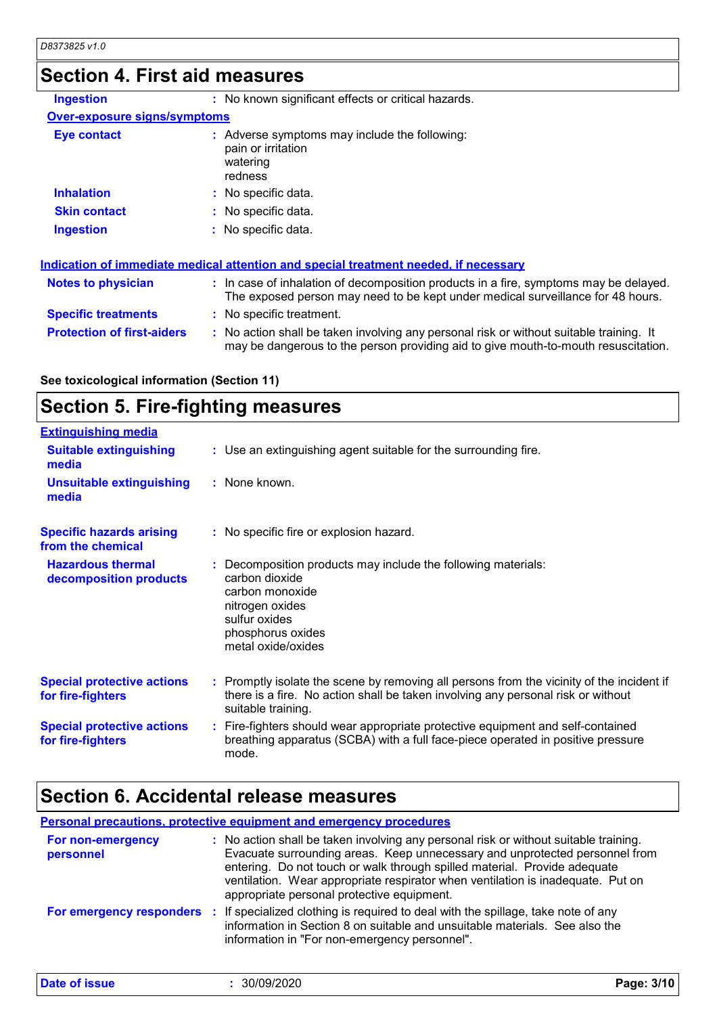### **Section 4. First aid measures**

| <b>Ingestion</b>                    | : No known significant effects or critical hazards.                                                                                                                      |
|-------------------------------------|--------------------------------------------------------------------------------------------------------------------------------------------------------------------------|
| <b>Over-exposure signs/symptoms</b> |                                                                                                                                                                          |
| <b>Eye contact</b>                  | : Adverse symptoms may include the following:<br>pain or irritation<br>watering<br>redness                                                                               |
| <b>Inhalation</b>                   | : No specific data.                                                                                                                                                      |
| <b>Skin contact</b>                 | : No specific data.                                                                                                                                                      |
| <b>Ingestion</b>                    | : No specific data.                                                                                                                                                      |
|                                     | Indication of immediate medical attention and special treatment needed, if necessary                                                                                     |
| <b>Notes to physician</b>           | : In case of inhalation of decomposition products in a fire, symptoms may be delayed.<br>The exposed person may need to be kept under medical surveillance for 48 hours. |

|                            | The exposed person may need to be kept up |
|----------------------------|-------------------------------------------|
| <b>Specific treatments</b> | : No specific treatment.                  |

**Protection of first-aiders :** No action shall be taken involving any personal risk or without suitable training. It may be dangerous to the person providing aid to give mouth-to-mouth resuscitation.

**See toxicological information (Section 11)**

#### **Section 5. Fire-fighting measures Hazardous thermal Specific hazards arising from the chemical** Decomposition products may include the following materials: **:** No specific fire or explosion hazard. **:** Use an extinguishing agent suitable for the surrounding fire. **: Extinguishing media :** None known. **Suitable extinguishing media Unsuitable extinguishing media**

| decomposition products                                 | carbon dioxide<br>carbon monoxide<br>nitrogen oxides<br>sulfur oxides<br>phosphorus oxides<br>metal oxide/oxides                                                                                    |
|--------------------------------------------------------|-----------------------------------------------------------------------------------------------------------------------------------------------------------------------------------------------------|
| <b>Special protective actions</b><br>for fire-fighters | : Promptly isolate the scene by removing all persons from the vicinity of the incident if<br>there is a fire. No action shall be taken involving any personal risk or without<br>suitable training. |
| <b>Special protective actions</b>                      | : Fire-fighters should wear appropriate protective equipment and self-contained                                                                                                                     |

### **Section 6. Accidental release measures**

mode.

|                                | <b>Personal precautions, protective equipment and emergency procedures</b>                                                                                                                                                                                                                                                                                                        |
|--------------------------------|-----------------------------------------------------------------------------------------------------------------------------------------------------------------------------------------------------------------------------------------------------------------------------------------------------------------------------------------------------------------------------------|
| For non-emergency<br>personnel | : No action shall be taken involving any personal risk or without suitable training.<br>Evacuate surrounding areas. Keep unnecessary and unprotected personnel from<br>entering. Do not touch or walk through spilled material. Provide adequate<br>ventilation. Wear appropriate respirator when ventilation is inadequate. Put on<br>appropriate personal protective equipment. |
|                                | For emergency responders : If specialized clothing is required to deal with the spillage, take note of any<br>information in Section 8 on suitable and unsuitable materials. See also the<br>information in "For non-emergency personnel".                                                                                                                                        |

breathing apparatus (SCBA) with a full face-piece operated in positive pressure

**Date of issue :** 30/09/2020 **Page: 3/10**

**for fire-fighters**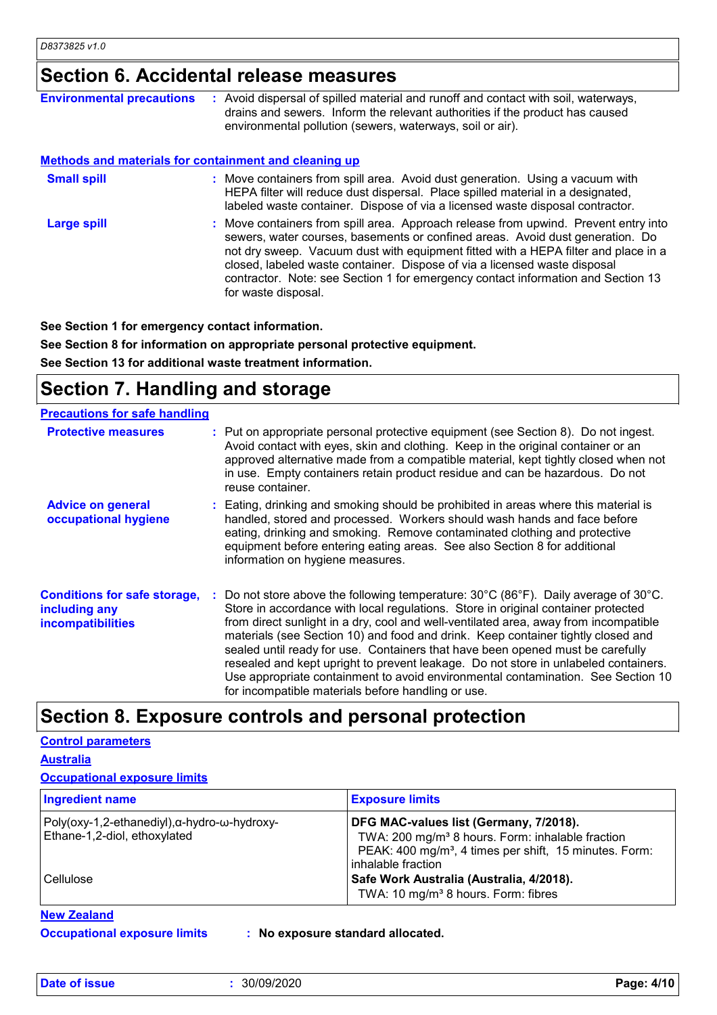### **Section 6. Accidental release measures**

| <b>Environmental precautions</b>                             | : Avoid dispersal of spilled material and runoff and contact with soil, waterways,<br>drains and sewers. Inform the relevant authorities if the product has caused<br>environmental pollution (sewers, waterways, soil or air).                                                                                                                                                                                                                    |
|--------------------------------------------------------------|----------------------------------------------------------------------------------------------------------------------------------------------------------------------------------------------------------------------------------------------------------------------------------------------------------------------------------------------------------------------------------------------------------------------------------------------------|
| <b>Methods and materials for containment and cleaning up</b> |                                                                                                                                                                                                                                                                                                                                                                                                                                                    |
| <b>Small spill</b>                                           | : Move containers from spill area. Avoid dust generation. Using a vacuum with<br>HEPA filter will reduce dust dispersal. Place spilled material in a designated,<br>labeled waste container. Dispose of via a licensed waste disposal contractor.                                                                                                                                                                                                  |
| <b>Large spill</b>                                           | : Move containers from spill area. Approach release from upwind. Prevent entry into<br>sewers, water courses, basements or confined areas. Avoid dust generation. Do<br>not dry sweep. Vacuum dust with equipment fitted with a HEPA filter and place in a<br>closed, labeled waste container. Dispose of via a licensed waste disposal<br>contractor. Note: see Section 1 for emergency contact information and Section 13<br>for waste disposal. |

**See Section 1 for emergency contact information.**

**See Section 8 for information on appropriate personal protective equipment. See Section 13 for additional waste treatment information.**

### **Section 7. Handling and storage**

| <b>Precautions for safe handling</b>                                             |                                                                                                                                                                                                                                                                                                                                                                                                                                                                                                                                                                                                                                                                                                        |
|----------------------------------------------------------------------------------|--------------------------------------------------------------------------------------------------------------------------------------------------------------------------------------------------------------------------------------------------------------------------------------------------------------------------------------------------------------------------------------------------------------------------------------------------------------------------------------------------------------------------------------------------------------------------------------------------------------------------------------------------------------------------------------------------------|
| <b>Protective measures</b>                                                       | : Put on appropriate personal protective equipment (see Section 8). Do not ingest.<br>Avoid contact with eyes, skin and clothing. Keep in the original container or an<br>approved alternative made from a compatible material, kept tightly closed when not<br>in use. Empty containers retain product residue and can be hazardous. Do not<br>reuse container.                                                                                                                                                                                                                                                                                                                                       |
| <b>Advice on general</b><br>occupational hygiene                                 | : Eating, drinking and smoking should be prohibited in areas where this material is<br>handled, stored and processed. Workers should wash hands and face before<br>eating, drinking and smoking. Remove contaminated clothing and protective<br>equipment before entering eating areas. See also Section 8 for additional<br>information on hygiene measures.                                                                                                                                                                                                                                                                                                                                          |
| <b>Conditions for safe storage,</b><br>including any<br><b>incompatibilities</b> | : Do not store above the following temperature: $30^{\circ}$ C (86 $^{\circ}$ F). Daily average of $30^{\circ}$ C.<br>Store in accordance with local regulations. Store in original container protected<br>from direct sunlight in a dry, cool and well-ventilated area, away from incompatible<br>materials (see Section 10) and food and drink. Keep container tightly closed and<br>sealed until ready for use. Containers that have been opened must be carefully<br>resealed and kept upright to prevent leakage. Do not store in unlabeled containers.<br>Use appropriate containment to avoid environmental contamination. See Section 10<br>for incompatible materials before handling or use. |

### **Section 8. Exposure controls and personal protection**

#### **Control parameters**

**Australia**

#### **Occupational exposure limits**

| Ingredient name                                                                     | <b>Exposure limits</b>                                                                                                                                                                             |
|-------------------------------------------------------------------------------------|----------------------------------------------------------------------------------------------------------------------------------------------------------------------------------------------------|
| $Poly(oxy-1, 2-ethanedyl), \alpha-hydro-w-hydroxy-$<br>Ethane-1,2-diol, ethoxylated | DFG MAC-values list (Germany, 7/2018).<br>TWA: 200 mg/m <sup>3</sup> 8 hours. Form: inhalable fraction<br>PEAK: 400 mg/m <sup>3</sup> , 4 times per shift, 15 minutes. Form:<br>inhalable fraction |
| Cellulose                                                                           | Safe Work Australia (Australia, 4/2018).<br>TWA: 10 mg/m <sup>3</sup> 8 hours. Form: fibres                                                                                                        |

**New Zealand**

**Date of issue :** 30/09/2020 **Page: 4/10**

**Occupational exposure limits : No exposure standard allocated.**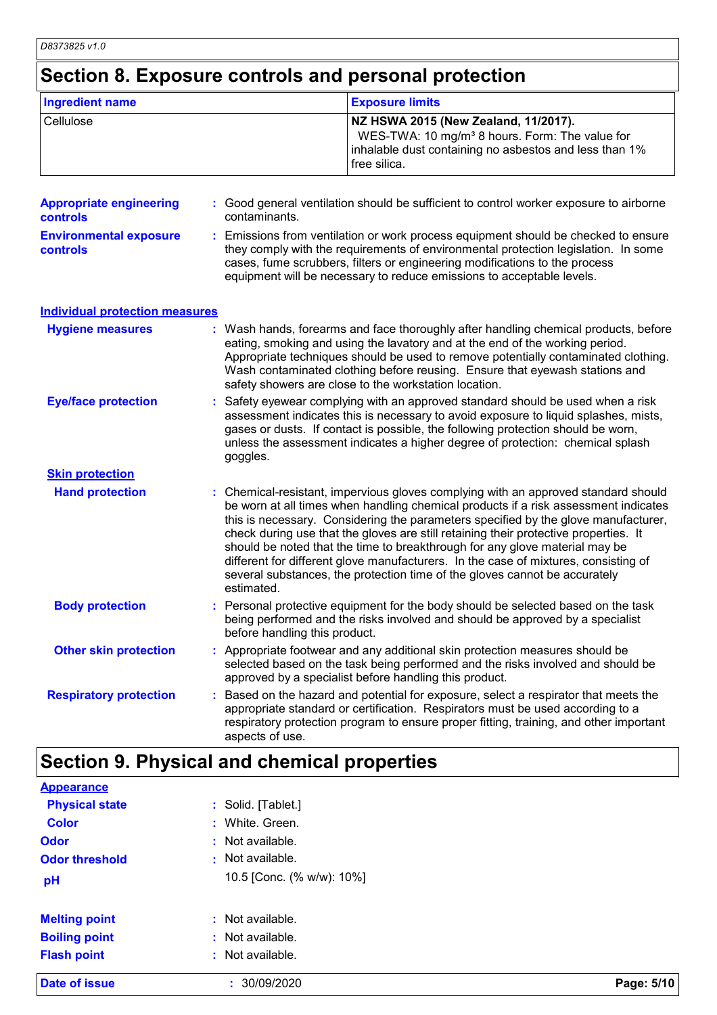### **Section 8. Exposure controls and personal protection**

| Ingredient name | <b>Exposure limits</b>                                                                                                                                                       |
|-----------------|------------------------------------------------------------------------------------------------------------------------------------------------------------------------------|
| Cellulose       | NZ HSWA 2015 (New Zealand, 11/2017).<br>WES-TWA: 10 mg/m <sup>3</sup> 8 hours. Form: The value for<br>inhalable dust containing no asbestos and less than 1%<br>free silica. |

| <b>Appropriate engineering</b><br>controls | : Good general ventilation should be sufficient to control worker exposure to airborne<br>contaminants.                                                                                                                                                                                                                                                                                                                                                                                                                                                                                                                   |  |
|--------------------------------------------|---------------------------------------------------------------------------------------------------------------------------------------------------------------------------------------------------------------------------------------------------------------------------------------------------------------------------------------------------------------------------------------------------------------------------------------------------------------------------------------------------------------------------------------------------------------------------------------------------------------------------|--|
| <b>Environmental exposure</b><br>controls  | : Emissions from ventilation or work process equipment should be checked to ensure<br>they comply with the requirements of environmental protection legislation. In some<br>cases, fume scrubbers, filters or engineering modifications to the process<br>equipment will be necessary to reduce emissions to acceptable levels.                                                                                                                                                                                                                                                                                           |  |
| <b>Individual protection measures</b>      |                                                                                                                                                                                                                                                                                                                                                                                                                                                                                                                                                                                                                           |  |
| <b>Hygiene measures</b>                    | : Wash hands, forearms and face thoroughly after handling chemical products, before<br>eating, smoking and using the lavatory and at the end of the working period.<br>Appropriate techniques should be used to remove potentially contaminated clothing.<br>Wash contaminated clothing before reusing. Ensure that eyewash stations and<br>safety showers are close to the workstation location.                                                                                                                                                                                                                         |  |
| <b>Eye/face protection</b>                 | : Safety eyewear complying with an approved standard should be used when a risk<br>assessment indicates this is necessary to avoid exposure to liquid splashes, mists,<br>gases or dusts. If contact is possible, the following protection should be worn,<br>unless the assessment indicates a higher degree of protection: chemical splash<br>goggles.                                                                                                                                                                                                                                                                  |  |
| <b>Skin protection</b>                     |                                                                                                                                                                                                                                                                                                                                                                                                                                                                                                                                                                                                                           |  |
| <b>Hand protection</b>                     | : Chemical-resistant, impervious gloves complying with an approved standard should<br>be worn at all times when handling chemical products if a risk assessment indicates<br>this is necessary. Considering the parameters specified by the glove manufacturer,<br>check during use that the gloves are still retaining their protective properties. It<br>should be noted that the time to breakthrough for any glove material may be<br>different for different glove manufacturers. In the case of mixtures, consisting of<br>several substances, the protection time of the gloves cannot be accurately<br>estimated. |  |
| <b>Body protection</b>                     | : Personal protective equipment for the body should be selected based on the task<br>being performed and the risks involved and should be approved by a specialist<br>before handling this product.                                                                                                                                                                                                                                                                                                                                                                                                                       |  |
| <b>Other skin protection</b>               | : Appropriate footwear and any additional skin protection measures should be<br>selected based on the task being performed and the risks involved and should be<br>approved by a specialist before handling this product.                                                                                                                                                                                                                                                                                                                                                                                                 |  |
| <b>Respiratory protection</b>              | Based on the hazard and potential for exposure, select a respirator that meets the<br>appropriate standard or certification. Respirators must be used according to a<br>respiratory protection program to ensure proper fitting, training, and other important<br>aspects of use.                                                                                                                                                                                                                                                                                                                                         |  |

## **Section 9. Physical and chemical properties**

| $:$ Not available. |                                                                     |
|--------------------|---------------------------------------------------------------------|
|                    |                                                                     |
|                    |                                                                     |
|                    |                                                                     |
|                    |                                                                     |
|                    |                                                                     |
|                    |                                                                     |
|                    |                                                                     |
|                    |                                                                     |
| : Not available.   |                                                                     |
| : White. Green.    |                                                                     |
|                    |                                                                     |
|                    |                                                                     |
|                    | : Solid. [Tablet.]<br>: Not available.<br>10.5 [Conc. (% w/w): 10%] |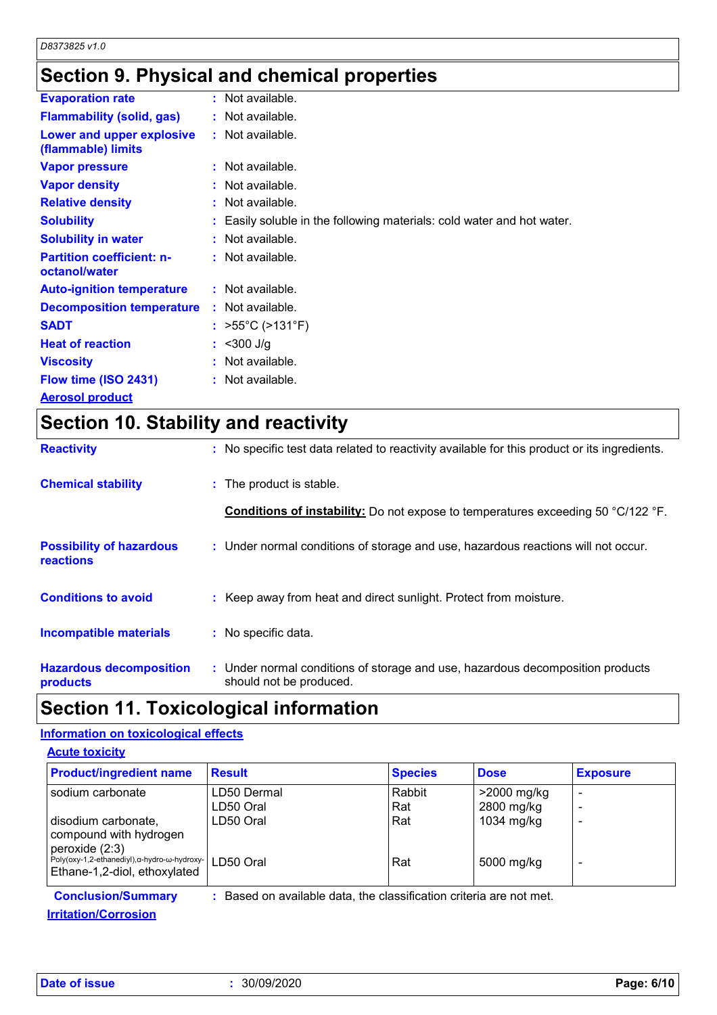### **Section 9. Physical and chemical properties**

| <b>Evaporation rate</b>                           | $:$ Not available.                                                     |
|---------------------------------------------------|------------------------------------------------------------------------|
| <b>Flammability (solid, gas)</b>                  | $:$ Not available.                                                     |
| Lower and upper explosive<br>(flammable) limits   | $:$ Not available.                                                     |
| <b>Vapor pressure</b>                             | $:$ Not available.                                                     |
| <b>Vapor density</b>                              | : Not available.                                                       |
| <b>Relative density</b>                           | $:$ Not available.                                                     |
| <b>Solubility</b>                                 | : Easily soluble in the following materials: cold water and hot water. |
| <b>Solubility in water</b>                        | $:$ Not available.                                                     |
| <b>Partition coefficient: n-</b><br>octanol/water | : Not available.                                                       |
| <b>Auto-ignition temperature</b>                  | $:$ Not available.                                                     |
| <b>Decomposition temperature</b>                  | $:$ Not available.                                                     |
| <b>SADT</b>                                       | : $>55^{\circ}$ C ( $>131^{\circ}$ F)                                  |
| <b>Heat of reaction</b>                           | $:$ <300 J/g                                                           |
| <b>Viscosity</b>                                  | $:$ Not available.                                                     |
| Flow time (ISO 2431)                              | $:$ Not available.                                                     |
| <b>Aerosol product</b>                            |                                                                        |

## **Section 10. Stability and reactivity**

| <b>Reactivity</b>                            | : No specific test data related to reactivity available for this product or its ingredients.              |
|----------------------------------------------|-----------------------------------------------------------------------------------------------------------|
| <b>Chemical stability</b>                    | : The product is stable.                                                                                  |
|                                              | <b>Conditions of instability:</b> Do not expose to temperatures exceeding 50 °C/122 °F.                   |
| <b>Possibility of hazardous</b><br>reactions | : Under normal conditions of storage and use, hazardous reactions will not occur.                         |
| <b>Conditions to avoid</b>                   | : Keep away from heat and direct sunlight. Protect from moisture.                                         |
| <b>Incompatible materials</b>                | : No specific data.                                                                                       |
| <b>Hazardous decomposition</b><br>products   | : Under normal conditions of storage and use, hazardous decomposition products<br>should not be produced. |

### **Section 11. Toxicological information**

#### **Information on toxicological effects**

|  | <b>Acute toxicity</b> |  |
|--|-----------------------|--|
|  |                       |  |

| <b>Product/ingredient name</b>                                                                           | <b>Result</b>                                                     | <b>Species</b> | <b>Dose</b>               | <b>Exposure</b> |
|----------------------------------------------------------------------------------------------------------|-------------------------------------------------------------------|----------------|---------------------------|-----------------|
| sodium carbonate                                                                                         | LD50 Dermal<br>LD50 Oral                                          | Rabbit<br>Rat  | >2000 mg/kg<br>2800 mg/kg |                 |
| disodium carbonate,<br>compound with hydrogen                                                            | LD50 Oral                                                         | Rat            | 1034 mg/kg                |                 |
| peroxide (2:3)<br>Poly(oxy-1,2-ethanediyl), α-hydro-ω-hydroxy- LD50 Oral<br>Ethane-1,2-diol, ethoxylated |                                                                   | Rat            | 5000 mg/kg                |                 |
| <b>Conclusion/Summary</b>                                                                                | Based on available data, the classification criteria are not met. |                |                           |                 |

### **Irritation/Corrosion**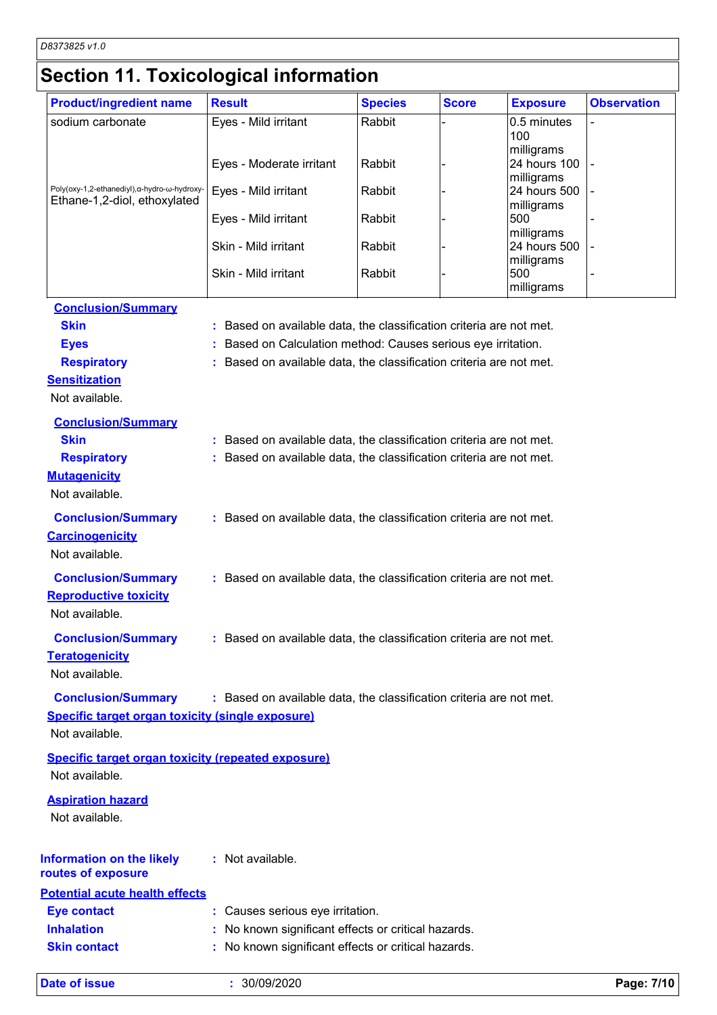## **Section 11. Toxicological information**

| <b>Product/ingredient name</b>                                               | <b>Result</b>                                                       | <b>Species</b> | <b>Score</b> | <b>Exposure</b>            | <b>Observation</b> |
|------------------------------------------------------------------------------|---------------------------------------------------------------------|----------------|--------------|----------------------------|--------------------|
| sodium carbonate                                                             | Eyes - Mild irritant                                                | Rabbit         |              | 0.5 minutes                |                    |
|                                                                              |                                                                     |                |              | 100                        |                    |
|                                                                              | Eyes - Moderate irritant                                            | Rabbit         |              | milligrams<br>24 hours 100 |                    |
|                                                                              |                                                                     |                |              | milligrams                 |                    |
| Poly(oxy-1,2-ethanediyl), α-hydro-ω-hydroxy-<br>Ethane-1,2-diol, ethoxylated | Eyes - Mild irritant                                                | Rabbit         |              | 24 hours 500               |                    |
|                                                                              | Eyes - Mild irritant                                                | Rabbit         |              | milligrams<br>500          |                    |
|                                                                              |                                                                     |                |              | milligrams                 |                    |
|                                                                              | Skin - Mild irritant                                                | Rabbit         |              | 24 hours 500               |                    |
|                                                                              | Skin - Mild irritant                                                | Rabbit         |              | milligrams<br>500          |                    |
|                                                                              |                                                                     |                |              | milligrams                 |                    |
| <b>Conclusion/Summary</b>                                                    |                                                                     |                |              |                            |                    |
| <b>Skin</b>                                                                  | : Based on available data, the classification criteria are not met. |                |              |                            |                    |
| <b>Eyes</b>                                                                  | : Based on Calculation method: Causes serious eye irritation.       |                |              |                            |                    |
| <b>Respiratory</b>                                                           | : Based on available data, the classification criteria are not met. |                |              |                            |                    |
| <b>Sensitization</b>                                                         |                                                                     |                |              |                            |                    |
| Not available.                                                               |                                                                     |                |              |                            |                    |
| <b>Conclusion/Summary</b>                                                    |                                                                     |                |              |                            |                    |
| <b>Skin</b>                                                                  | : Based on available data, the classification criteria are not met. |                |              |                            |                    |
| <b>Respiratory</b>                                                           | : Based on available data, the classification criteria are not met. |                |              |                            |                    |
| <b>Mutagenicity</b>                                                          |                                                                     |                |              |                            |                    |
| Not available.                                                               |                                                                     |                |              |                            |                    |
| <b>Conclusion/Summary</b>                                                    | : Based on available data, the classification criteria are not met. |                |              |                            |                    |
| <b>Carcinogenicity</b>                                                       |                                                                     |                |              |                            |                    |
| Not available.                                                               |                                                                     |                |              |                            |                    |
|                                                                              |                                                                     |                |              |                            |                    |
| <b>Conclusion/Summary</b>                                                    | : Based on available data, the classification criteria are not met. |                |              |                            |                    |
| <b>Reproductive toxicity</b>                                                 |                                                                     |                |              |                            |                    |
| Not available.                                                               |                                                                     |                |              |                            |                    |
| <b>Conclusion/Summary</b>                                                    | : Based on available data, the classification criteria are not met. |                |              |                            |                    |
| <b>Teratogenicity</b>                                                        |                                                                     |                |              |                            |                    |
| Not available.                                                               |                                                                     |                |              |                            |                    |
| <b>Conclusion/Summary</b>                                                    | : Based on available data, the classification criteria are not met. |                |              |                            |                    |
| <b>Specific target organ toxicity (single exposure)</b>                      |                                                                     |                |              |                            |                    |
| Not available.                                                               |                                                                     |                |              |                            |                    |
| <b>Specific target organ toxicity (repeated exposure)</b>                    |                                                                     |                |              |                            |                    |
| Not available.                                                               |                                                                     |                |              |                            |                    |
| <b>Aspiration hazard</b>                                                     |                                                                     |                |              |                            |                    |
| Not available.                                                               |                                                                     |                |              |                            |                    |
|                                                                              |                                                                     |                |              |                            |                    |
|                                                                              | : Not available.                                                    |                |              |                            |                    |
| <b>Information on the likely</b><br>routes of exposure                       |                                                                     |                |              |                            |                    |
| <b>Potential acute health effects</b>                                        |                                                                     |                |              |                            |                    |
| <b>Eye contact</b>                                                           | : Causes serious eye irritation.                                    |                |              |                            |                    |
| <b>Inhalation</b>                                                            | : No known significant effects or critical hazards.                 |                |              |                            |                    |
| <b>Skin contact</b>                                                          | : No known significant effects or critical hazards.                 |                |              |                            |                    |
|                                                                              |                                                                     |                |              |                            |                    |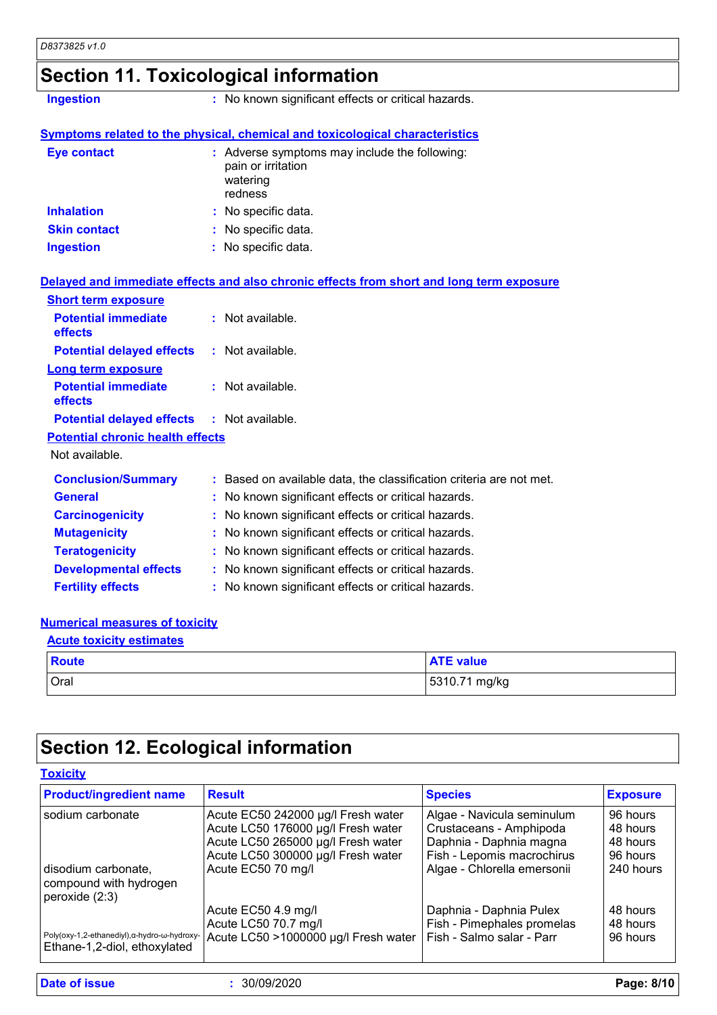### **Section 11. Toxicological information**

**Ingestion :** No known significant effects or critical hazards.

#### **Symptoms related to the physical, chemical and toxicological characteristics**

| <b>Eye contact</b>  | : Adverse symptoms may include the following:<br>pain or irritation<br>watering<br>redness |
|---------------------|--------------------------------------------------------------------------------------------|
| <b>Inhalation</b>   | : No specific data.                                                                        |
| <b>Skin contact</b> | : No specific data.                                                                        |
| <b>Ingestion</b>    | : No specific data.                                                                        |

#### **Delayed and immediate effects and also chronic effects from short and long term exposure**

| <b>Short term exposure</b>                        |                                                                     |
|---------------------------------------------------|---------------------------------------------------------------------|
| <b>Potential immediate</b><br>effects             | $:$ Not available.                                                  |
| <b>Potential delayed effects : Not available.</b> |                                                                     |
| <b>Long term exposure</b>                         |                                                                     |
| <b>Potential immediate</b><br><b>effects</b>      | $:$ Not available.                                                  |
| <b>Potential delayed effects : Not available.</b> |                                                                     |
| <b>Potential chronic health effects</b>           |                                                                     |
| Not available.                                    |                                                                     |
| <b>Conclusion/Summary</b>                         | : Based on available data, the classification criteria are not met. |
| <b>General</b>                                    | : No known significant effects or critical hazards.                 |
| <b>Carcinogenicity</b>                            | : No known significant effects or critical hazards.                 |
| <b>Mutagenicity</b>                               | : No known significant effects or critical hazards.                 |
| <b>Teratogenicity</b>                             | : No known significant effects or critical hazards.                 |
| <b>Developmental effects</b>                      | : No known significant effects or critical hazards.                 |
| <b>Fertility effects</b>                          | : No known significant effects or critical hazards.                 |

#### **Numerical measures of toxicity**

| <b>Acute toxicity estimates</b> |                  |  |
|---------------------------------|------------------|--|
| <b>Route</b>                    | <b>ATE value</b> |  |
| <b>Oral</b>                     | 5310.71 mg/kg    |  |

### **Section 12. Ecological information**

#### **Toxicity**

| <b>Product/ingredient name</b>                                               | <b>Result</b>                        | <b>Species</b>              | <b>Exposure</b> |
|------------------------------------------------------------------------------|--------------------------------------|-----------------------------|-----------------|
| sodium carbonate                                                             | Acute EC50 242000 µg/l Fresh water   | Algae - Navicula seminulum  | 96 hours        |
|                                                                              | Acute LC50 176000 µg/l Fresh water   | Crustaceans - Amphipoda     | 48 hours        |
|                                                                              | Acute LC50 265000 µg/l Fresh water   | Daphnia - Daphnia magna     | 48 hours        |
|                                                                              | Acute LC50 300000 µg/l Fresh water   | Fish - Lepomis macrochirus  | 96 hours        |
| disodium carbonate,<br>compound with hydrogen<br>peroxide $(2:3)$            | Acute EC50 70 mg/l                   | Algae - Chlorella emersonii | 240 hours       |
|                                                                              | Acute EC50 4.9 mg/l                  | Daphnia - Daphnia Pulex     | 48 hours        |
|                                                                              | Acute LC50 70.7 mg/l                 | Fish - Pimephales promelas  | 48 hours        |
| Poly(oxy-1,2-ethanediyl), α-hydro-ω-hydroxy-<br>Ethane-1,2-diol, ethoxylated | Acute LC50 >1000000 µg/l Fresh water | Fish - Salmo salar - Parr   | 96 hours        |

**Date of issue :** 30/09/2020 **Page: 8/10**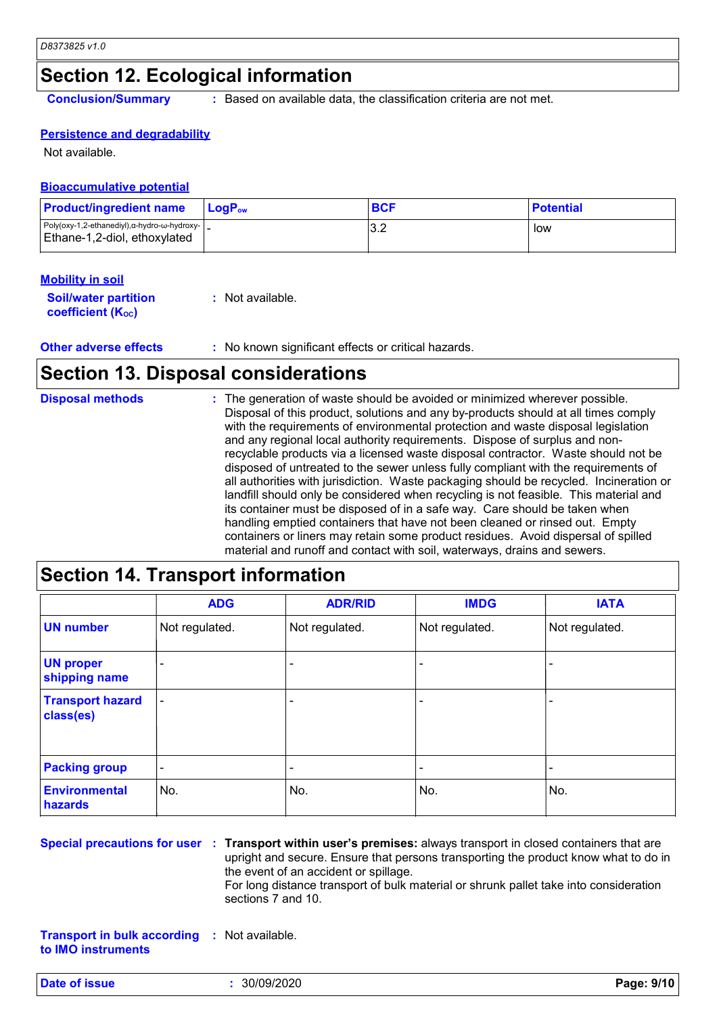### **Section 12. Ecological information**

**Conclusion/Summary :** Based on available data, the classification criteria are not met.

#### **Persistence and degradability**

Not available.

#### **Bioaccumulative potential**

| <b>Product/ingredient name</b>                                                                | <b>LogP</b> <sub>ow</sub> | <b>BCF</b> | <b>Potential</b> |
|-----------------------------------------------------------------------------------------------|---------------------------|------------|------------------|
| Poly(oxy-1,2-ethanediyl), $\alpha$ -hydro- $\omega$ -hydroxy-<br>Ethane-1,2-diol, ethoxylated |                           | າ າ<br>ے.د | low              |

#### **Mobility in soil**

| <b>Soil/water partition</b> | : Not available. |
|-----------------------------|------------------|
| <b>coefficient (Koc)</b>    |                  |

| <b>Other adverse effects</b> | No known significant effects or critical hazards. |
|------------------------------|---------------------------------------------------|
|------------------------------|---------------------------------------------------|

### **Section 13. Disposal considerations**

| <b>Disposal methods</b> | : The generation of waste should be avoided or minimized wherever possible.<br>Disposal of this product, solutions and any by-products should at all times comply<br>with the requirements of environmental protection and waste disposal legislation<br>and any regional local authority requirements. Dispose of surplus and non-<br>recyclable products via a licensed waste disposal contractor. Waste should not be<br>disposed of untreated to the sewer unless fully compliant with the requirements of<br>all authorities with jurisdiction. Waste packaging should be recycled. Incineration or<br>landfill should only be considered when recycling is not feasible. This material and<br>its container must be disposed of in a safe way. Care should be taken when<br>handling emptied containers that have not been cleaned or rinsed out. Empty |
|-------------------------|---------------------------------------------------------------------------------------------------------------------------------------------------------------------------------------------------------------------------------------------------------------------------------------------------------------------------------------------------------------------------------------------------------------------------------------------------------------------------------------------------------------------------------------------------------------------------------------------------------------------------------------------------------------------------------------------------------------------------------------------------------------------------------------------------------------------------------------------------------------|
|                         | containers or liners may retain some product residues. Avoid dispersal of spilled<br>material and runoff and contact with soil, waterways, drains and sewers.                                                                                                                                                                                                                                                                                                                                                                                                                                                                                                                                                                                                                                                                                                 |

### **Section 14. Transport information**

|                                      | <b>ADG</b>     | <b>ADR/RID</b> | <b>IMDG</b>    | <b>IATA</b>    |
|--------------------------------------|----------------|----------------|----------------|----------------|
| <b>UN number</b>                     | Not regulated. | Not regulated. | Not regulated. | Not regulated. |
| <b>UN proper</b><br>shipping name    |                |                |                |                |
| <b>Transport hazard</b><br>class(es) |                |                |                |                |
| <b>Packing group</b>                 | ٠              |                |                |                |
| <b>Environmental</b><br>hazards      | No.            | No.            | No.            | No.            |

**Special precautions for user Transport within user's premises:** always transport in closed containers that are **:** upright and secure. Ensure that persons transporting the product know what to do in the event of an accident or spillage. For long distance transport of bulk material or shrunk pallet take into consideration sections 7 and 10.

**Transport in bulk according :** Not available. **to IMO instruments**